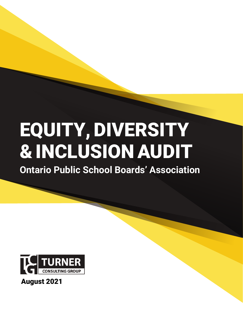# EQUITY, DIVERSITY & INCLUSION AUDIT

**Ontario Public School Boards' Association**



# August 2021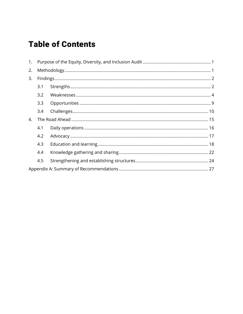# **Table of Contents**

| 1. |     |  |  |  |
|----|-----|--|--|--|
| 2. |     |  |  |  |
| 3. |     |  |  |  |
|    | 3.1 |  |  |  |
|    | 3.2 |  |  |  |
|    | 3.3 |  |  |  |
|    | 3.4 |  |  |  |
| 4. |     |  |  |  |
|    | 4.1 |  |  |  |
|    | 4.2 |  |  |  |
|    | 4.3 |  |  |  |
|    | 4.4 |  |  |  |
|    | 4.5 |  |  |  |
|    |     |  |  |  |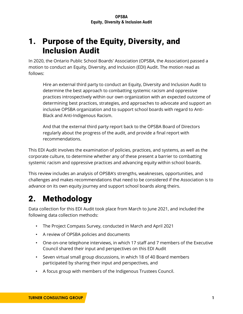# <span id="page-2-0"></span>1. Purpose of the Equity, Diversity, and Inclusion Audit

In 2020, the Ontario Public School Boards' Association (OPSBA, the Association) passed a motion to conduct an Equity, Diversity, and Inclusion (EDI) Audit. The motion read as follows:

Hire an external third party to conduct an Equity, Diversity and Inclusion Audit to determine the best approach to combatting systemic racism and oppressive practices introspectively within our own organization with an expected outcome of determining best practices, strategies, and approaches to advocate and support an inclusive OPSBA organization and to support school boards with regard to Anti-Black and Anti-Indigenous Racism.

And that the external third party report back to the OPSBA Board of Directors regularly about the progress of the audit, and provide a final report with recommendations.

This EDI Audit involves the examination of policies, practices, and systems, as well as the corporate culture, to determine whether any of these present a barrier to combatting systemic racism and oppressive practices and advancing equity within school boards.

This review includes an analysis of OPSBA's strengths, weaknesses, opportunities, and challenges and makes recommendations that need to be considered if the Association is to advance on its own equity journey and support school boards along theirs.

# <span id="page-2-1"></span>2. Methodology

Data collection for this EDI Audit took place from March to June 2021, and included the following data collection methods:

- The Project Compass Survey, conducted in March and April 2021
- A review of OPSBA policies and documents
- One-on-one telephone interviews, in which 17 staff and 7 members of the Executive Council shared their input and perspectives on this EDI Audit
- Seven virtual small group discussions, in which 18 of 40 Board members participated by sharing their input and perspectives, and
- A focus group with members of the Indigenous Trustees Council.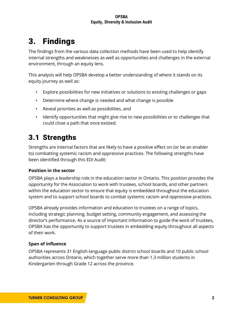# <span id="page-3-0"></span>3. Findings

The findings from the various data collection methods have been used to help identify internal strengths and weaknesses as well as opportunities and challenges in the external environment, through an equity lens.

This analysis will help OPSBA develop a better understanding of where it stands on its equity journey as well as:

- Explore possibilities for new initiatives or solutions to existing challenges or gaps
- Determine where change is needed and what change is possible
- Reveal priorities as well as possibilities, and
- Identify opportunities that might give rise to new possibilities or to challenges that could close a path that once existed.

# <span id="page-3-1"></span>3.1 Strengths

Strengths are internal factors that are likely to have a positive effect on (or be an enabler to) combatting systemic racism and oppressive practices. The following strengths have been identified through this EDI Audit:

# **Position in the sector**

OPSBA plays a leadership role in the education sector in Ontario. This position provides the opportunity for the Association to work with trustees, school boards, and other partners within the education sector to ensure that equity is embedded throughout the education system and to support school boards to combat systemic racism and oppressive practices.

OPSBA already provides information and education to trustees on a range of topics, including strategic planning, budget setting, community engagement, and assessing the director's performance. As a source of important information to guide the work of trustees, OPSBA has the opportunity to support trustees in embedding equity throughout all aspects of their work.

# **Span of influence**

OPSBA represents 31 English-language public district school boards and 10 public school authorities across Ontario, which together serve more than 1.3 million students in Kindergarten through Grade 12 across the province.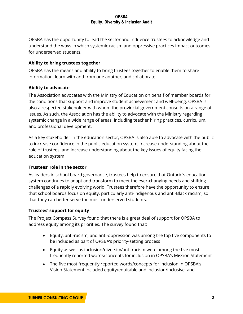OPSBA has the opportunity to lead the sector and influence trustees to acknowledge and understand the ways in which systemic racism and oppressive practices impact outcomes for underserved students.

### **Ability to bring trustees together**

OPSBA has the means and ability to bring trustees together to enable them to share information, learn with and from one another, and collaborate.

#### **Ability to advocate**

The Association advocates with the Ministry of Education on behalf of member boards for the conditions that support and improve student achievement and well-being. OPSBA is also a respected stakeholder with whom the provincial government consults on a range of issues. As such, the Association has the ability to advocate with the Ministry regarding systemic change in a wide range of areas, including teacher hiring practices, curriculum, and professional development.

As a key stakeholder in the education sector, OPSBA is also able to advocate with the public to increase confidence in the public education system, increase understanding about the role of trustees, and increase understanding about the key issues of equity facing the education system.

#### **Trustees' role in the sector**

As leaders in school board governance, trustees help to ensure that Ontario's education system continues to adapt and transform to meet the ever-changing needs and shifting challenges of a rapidly evolving world. Trustees therefore have the opportunity to ensure that school boards focus on equity, particularly anti-Indigenous and anti-Black racism, so that they can better serve the most underserved students.

#### **Trustees' support for equity**

The Project Compass Survey found that there is a great deal of support for OPSBA to address equity among its priorities. The survey found that:

- Equity, anti-racism, and anti-oppression was among the top five components to be included as part of OPSBA's priority-setting process
- Equity as well as inclusion/diversity/anti-racism were among the five most frequently reported words/concepts for inclusion in OPSBA's Mission Statement
- The five most frequently reported words/concepts for inclusion in OPSBA's Vision Statement included equity/equitable and inclusion/inclusive, and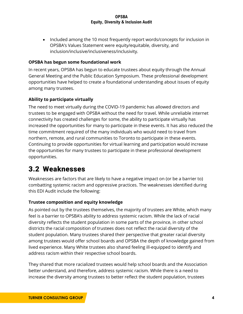• Included among the 10 most frequently report words/concepts for inclusion in OPSBA's Values Statement were equity/equitable, diversity, and inclusion/inclusive/inclusiveness/inclusivity.

### **OPSBA has begun some foundational work**

In recent years, OPSBA has begun to educate trustees about equity through the Annual General Meeting and the Public Education Symposium. These professional development opportunities have helped to create a foundational understanding about issues of equity among many trustees.

# **Ability to participate virtually**

The need to meet virtually during the COVID-19 pandemic has allowed directors and trustees to be engaged with OPSBA without the need for travel. While unreliable internet connectivity has created challenges for some, the ability to participate virtually has increased the opportunities for many to participate in these events. It has also reduced the time commitment required of the many individuals who would need to travel from northern, remote, and rural communities to Toronto to participate in these events. Continuing to provide opportunities for virtual learning and participation would increase the opportunities for many trustees to participate in these professional development opportunities.

# <span id="page-5-0"></span>3.2 Weaknesses

Weaknesses are factors that are likely to have a negative impact on (or be a barrier to) combatting systemic racism and oppressive practices. The weaknesses identified during this EDI Audit include the following:

#### **Trustee composition and equity knowledge**

As pointed out by the trustees themselves, the majority of trustees are White, which many feel is a barrier to OPSBA's ability to address systemic racism. While the lack of racial diversity reflects the student population in some parts of the province, in other school districts the racial composition of trustees does not reflect the racial diversity of the student population. Many trustees shared their perspective that greater racial diversity among trustees would offer school boards and OPSBA the depth of knowledge gained from lived experience. Many White trustees also shared feeling ill-equipped to identify and address racism within their respective school boards.

They shared that more racialized trustees would help school boards and the Association better understand, and therefore, address systemic racism. While there is a need to increase the diversity among trustees to better reflect the student population, trustees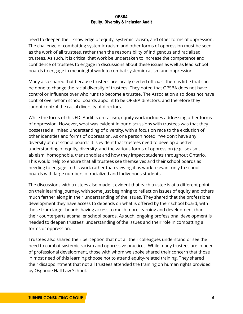need to deepen their knowledge of equity, systemic racism, and other forms of oppression. The challenge of combatting systemic racism and other forms of oppression must be seen as the work of all trustees, rather than the responsibility of Indigenous and racialized trustees. As such, it is critical that work be undertaken to increase the competence and confidence of trustees to engage in discussions about these issues as well as lead school boards to engage in meaningful work to combat systemic racism and oppression.

Many also shared that because trustees are locally elected officials, there is little that can be done to change the racial diversity of trustees. They noted that OPSBA does not have control or influence over who runs to become a trustee. The Association also does not have control over whom school boards appoint to be OPSBA directors, and therefore they cannot control the racial diversity of directors.

While the focus of this EDI Audit is on racism, equity work includes addressing other forms of oppression. However, what was evident in our discussions with trustees was that they possessed a limited understanding of diversity, with a focus on race to the exclusion of other identities and forms of oppression. As one person noted, "We don't have any diversity at our school board." It is evident that trustees need to develop a better understanding of equity, diversity, and the various forms of oppression (e.g., sexism, ableism, homophobia, transphobia) and how they impact students throughout Ontario. This would help to ensure that all trustees see themselves and their school boards as needing to engage in this work rather than viewing it as work relevant only to school boards with large numbers of racialized and Indigenous students.

The discussions with trustees also made it evident that each trustee is at a different point on their learning journey, with some just beginning to reflect on issues of equity and others much farther along in their understanding of the issues. They shared that the professional development they have access to depends on what is offered by their school board, with those from larger boards having access to much more learning and development than their counterparts at smaller school boards. As such, ongoing professional development is needed to deepen trustees' understanding of the issues and their role in combatting all forms of oppression.

Trustees also shared their perception that not all their colleagues understand or see the need to combat systemic racism and oppressive practices. While many trustees are in need of professional development, those with whom we spoke shared their concern that those in most need of this learning choose not to attend equity-related training. They shared their disappointment that not all trustees attended the training on human rights provided by Osgoode Hall Law School.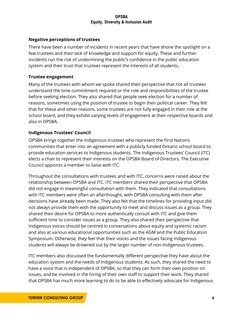### **Negative perceptions of trustees**

There have been a number of incidents in recent years that have shone the spotlight on a few trustees and their lack of knowledge and support for equity. These and further incidents run the risk of undermining the public's confidence in the public education system and their trust that trustees represent the interests of all students.

#### **Trustee engagement**

Many of the trustees with whom we spoke shared their perspective that not all trustees understand the time commitment required or the role and responsibilities of the trustee before seeking election. They also shared that people seek election for a number of reasons, sometimes using the position of trustee to begin their political career. They felt that for these and other reasons, some trustees are not fully engaged in their role at the school board, and they exhibit varying levels of engagement at their respective boards and also in OPSBA.

### **Indigenous Trustees' Council**

OPSBA brings together the Indigenous trustees who represent the First Nations communities that enter into an agreement with a publicly funded Ontario school board to provide education services to Indigenous students. The Indigenous Trustees' Council (ITC) elects a chair to represent their interests on the OPSBA Board of Directors. The Executive Council appoints a member to liaise with ITC.

Throughout the consultations with trustees and with ITC, concerns were raised about the relationship between OPSBA and ITC. ITC members shared their perspective that OPSBA did not engage in meaningful consultation with them. They indicated that consultations with ITC members were often an afterthought, with OPSBA consulting with them after decisions have already been made. They also felt that the timelines for providing input did not always provide them with the opportunity to meet and discuss issues as a group. They shared their desire for OPSBA to more authentically consult with ITC and give them sufficient time to consider issues as a group. They also shared their perspective that Indigenous voices should be centred in conversations about equity and systemic racism and also at various educational opportunities such as the AGM and the Public Education Symposium. Otherwise, they feel that their voices and the issues facing Indigenous students will always be drowned out by the larger number of non-Indigenous trustees.

ITC members also discussed the fundamentally different perspective they have about the education system and the needs of Indigenous students. As such, they shared the need to have a voice that is independent of OPSBA, so that they can form their own position on issues, and be involved in the hiring of their own staff to support their work. They shared that OPSBA has much more learning to do to be able to effectively advocate for Indigenous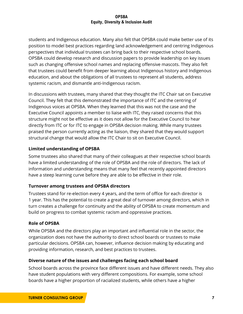students and Indigenous education. Many also felt that OPSBA could make better use of its position to model best practices regarding land acknowledgement and centring Indigenous perspectives that individual trustees can bring back to their respective school boards. OPSBA could develop research and discussion papers to provide leadership on key issues such as changing offensive school names and replacing offensive mascots. They also felt that trustees could benefit from deeper learning about Indigenous history and Indigenous education, and about the obligations of all trustees to represent all students, address systemic racism, and dismantle anti-Indigenous racism.

In discussions with trustees, many shared that they thought the ITC Chair sat on Executive Council. They felt that this demonstrated the importance of ITC and the centring of Indigenous voices at OPSBA. When they learned that this was not the case and the Executive Council appoints a member to liaise with ITC, they raised concerns that this structure might not be effective as it does not allow for the Executive Council to hear directly from ITC or for ITC to engage in OPSBA decision making. While many trustees praised the person currently acting as the liaison, they shared that they would support structural change that would allow the ITC Chair to sit on Executive Council.

# **Limited understanding of OPSBA**

Some trustees also shared that many of their colleagues at their respective school boards have a limited understanding of the role of OPSBA and the role of directors. The lack of information and understanding means that many feel that recently appointed directors have a steep learning curve before they are able to be effective in their role.

# **Turnover among trustees and OPSBA directors**

Trustees stand for re-election every 4 years, and the term of office for each director is 1 year. This has the potential to create a great deal of turnover among directors, which in turn creates a challenge for continuity and the ability of OPSBA to create momentum and build on progress to combat systemic racism and oppressive practices.

# **Role of OPSBA**

While OPSBA and the directors play an important and influential role in the sector, the organization does not have the authority to direct school boards or trustees to make particular decisions. OPSBA can, however, influence decision making by educating and providing information, research, and best practices to trustees.

# **Diverse nature of the issues and challenges facing each school board**

School boards across the province face different issues and have different needs. They also have student populations with very different compositions. For example, some school boards have a higher proportion of racialized students, while others have a higher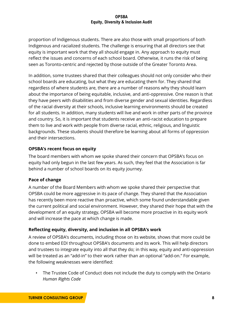proportion of Indigenous students. There are also those with small proportions of both Indigenous and racialized students. The challenge is ensuring that all directors see that equity is important work that they all should engage in. Any approach to equity must reflect the issues and concerns of each school board. Otherwise, it runs the risk of being seen as Toronto-centric and rejected by those outside of the Greater Toronto Area.

In addition, some trustees shared that their colleagues should not only consider who their school boards are educating, but what they are educating them for. They shared that regardless of where students are, there are a number of reasons why they should learn about the importance of being equitable, inclusive, and anti-oppressive. One reason is that they have peers with disabilities and from diverse gender and sexual identities. Regardless of the racial diversity at their schools, inclusive learning environments should be created for all students. In addition, many students will live and work in other parts of the province and country. So, it is important that students receive an anti-racist education to prepare them to live and work with people from diverse racial, ethnic, religious, and linguistic backgrounds. These students should therefore be learning about all forms of oppression and their intersections.

# **OPSBA's recent focus on equity**

The board members with whom we spoke shared their concern that OPSBA's focus on equity had only begun in the last few years. As such, they feel that the Association is far behind a number of school boards on its equity journey.

# **Pace of change**

A number of the Board Members with whom we spoke shared their perspective that OPSBA could be more aggressive in its pace of change. They shared that the Association has recently been more reactive than proactive, which some found understandable given the current political and social environment. However, they shared their hope that with the development of an equity strategy, OPSBA will become more proactive in its equity work and will increase the pace at which change is made.

# **Reflecting equity, diversity, and inclusion in all OPSBA's work**

A review of OPSBA's documents, including those on its website, shows that more could be done to embed EDI throughout OPSBA's documents and its work. This will help directors and trustees to integrate equity into all that they do; in this way, equity and anti-oppression will be treated as an "add-in" to their work rather than an optional "add-on." For example, the following weaknesses were identified:

• The Trustee Code of Conduct does not include the duty to comply with the Ontario *Human Rights Code*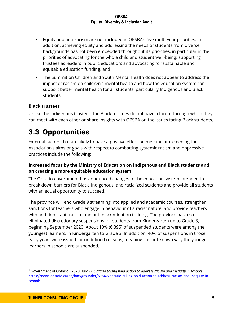- Equity and anti-racism are not included in OPSBA's five multi-year priorities. In addition, achieving equity and addressing the needs of students from diverse backgrounds has not been embedded throughout its priorities, in particular in the priorities of advocating for the whole child and student well-being; supporting trustees as leaders in public education; and advocating for sustainable and equitable education funding, and
- The Summit on Children and Youth Mental Health does not appear to address the impact of racism on children's mental health and how the education system can support better mental health for all students, particularly Indigenous and Black students.

# **Black trustees**

Unlike the Indigenous trustees, the Black trustees do not have a forum through which they can meet with each other or share insights with OPSBA on the issues facing Black students.

# <span id="page-10-0"></span>3.3 Opportunities

External factors that are likely to have a positive effect on meeting or exceeding the Association's aims or goals with respect to combatting systemic racism and oppressive practices include the following:

### **Increased focus by the Ministry of Education on Indigenous and Black students and on creating a more equitable education system**

The Ontario government has announced changes to the education system intended to break down barriers for Black, Indigenous, and racialized students and provide all students with an equal opportunity to succeed.

The province will end Grade 9 streaming into applied and academic courses, strengthen sanctions for teachers who engage in behaviour of a racist nature, and provide teachers with additional anti-racism and anti-discrimination training. The province has also eliminated discretionary suspensions for students from Kindergarten up to Grade 3, beginning September 2020. About 10% (6,395) of suspended students were among the youngest learners, in Kindergarten to Grade 3. In addition, 40% of suspensions in those early years were issued for undefined reasons, meaning it is not known why the youngest learners in schools are suspended. $1$ 

<sup>1</sup> Government of Ontario. (2020, July 9). *Ontario taking bold action to address racism and inequity in schools*. [https://news.ontario.ca/en/backgrounder/57542/ontario-taking-bold-action-to-address-racism-and-inequity-in](https://news.ontario.ca/en/backgrounder/57542/ontario-taking-bold-action-to-address-racism-and-inequity-in-schools)[schools](https://news.ontario.ca/en/backgrounder/57542/ontario-taking-bold-action-to-address-racism-and-inequity-in-schools)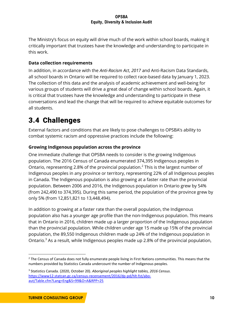The Ministry's focus on equity will drive much of the work within school boards, making it critically important that trustees have the knowledge and understanding to participate in this work.

# **Data collection requirements**

In addition, in accordance with the *Anti-Racism Act*, *2017* and Anti-Racism Data Standards, all school boards in Ontario will be required to collect race-based data by January 1, 2023. The collection of this data and the analysis of academic achievement and well-being for various groups of students will drive a great deal of change within school boards. Again, it is critical that trustees have the knowledge and understanding to participate in these conversations and lead the change that will be required to achieve equitable outcomes for all students.

# <span id="page-11-0"></span>3.4 Challenges

External factors and conditions that are likely to pose challenges to OPSBA's ability to combat systemic racism and oppressive practices include the following:

# **Growing Indigenous population across the province**

One immediate challenge that OPSBA needs to consider is the growing Indigenous population. The 2016 Census of Canada enumerated 374,395 Indigenous peoples in Ontario, representing 2.8% of the provincial population.<sup>2</sup> This is the largest number of Indigenous peoples in any province or territory, representing 22% of all Indigenous peoples in Canada. The Indigenous population is also growing at a faster rate than the provincial population. Between 2006 and 2016, the Indigenous population in Ontario grew by 54% (from 242,490 to 374,395). During this same period, the population of the province grew by only 5% (from 12,851,821 to 13,448,494).

In addition to growing at a faster rate than the overall population, the Indigenous population also has a younger age profile than the non-Indigenous population. This means that in Ontario in 2016, children made up a larger proportion of the Indigenous population than the provincial population. While children under age 15 made up 15% of the provincial population, the 89,550 Indigenous children made up 24% of the Indigenous population in Ontario.<sup>3</sup> As a result, while Indigenous peoples made up 2.8% of the provincial population,

<sup>&</sup>lt;sup>2</sup> The Census of Canada does not fully enumerate people living in First Nations communities. This means that the numbers provided by Statistics Canada undercount the number of Indigenous peoples.

<sup>3</sup> Statistics Canada. (2020, October 20). *Aboriginal peoples highlight tables, 2016 Census*. [https://www12.statcan.gc.ca/census-recensement/2016/dp-pd/hlt-fst/abo](https://www12.statcan.gc.ca/census-recensement/2016/dp-pd/hlt-fst/abo-aut/Table.cfm?Lang=Eng&S=99&O=A&RPP=25)[aut/Table.cfm?Lang=Eng&S=99&O=A&RPP=25](https://www12.statcan.gc.ca/census-recensement/2016/dp-pd/hlt-fst/abo-aut/Table.cfm?Lang=Eng&S=99&O=A&RPP=25)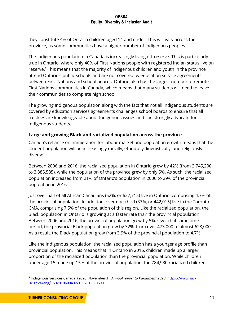they constitute 4% of Ontario children aged 14 and under. This will vary across the province, as some communities have a higher number of Indigenous peoples.

The Indigenous population in Canada is increasingly living off-reserve. This is particularly true in Ontario, where only 40% of First Nations people with registered Indian status live on reserve.<sup>4</sup> This means that the majority of Indigenous children and youth in the province attend Ontario's public schools and are not covered by education service agreements between First Nations and school boards. Ontario also has the largest number of remote First Nations communities in Canada, which means that many students will need to leave their communities to complete high school.

The growing Indigenous population along with the fact that not all Indigenous students are covered by education services agreements challenges school boards to ensure that all trustees are knowledgeable about Indigenous issues and can strongly advocate for Indigenous students.

# **Large and growing Black and racialized population across the province**

Canada's reliance on immigration for labour market and population growth means that the student population will be increasingly racially, ethnically, linguistically, and religiously diverse.

Between 2006 and 2016, the racialized population in Ontario grew by 42% (from 2,745,200 to 3,885,585), while the population of the province grew by only 5%. As such, the racialized population increased from 21% of Ontario's population in 2006 to 29% of the provincial population in 2016.

Just over half of all African Canadians (52%, or 627,715) live in Ontario, comprising 4.7% of the provincial population. In addition, over one-third (37%, or 442,015) live in the Toronto CMA, comprising 7.5% of the population of this region. Like the racialized population, the Black population in Ontario is growing at a faster rate than the provincial population. Between 2006 and 2016, the provincial population grew by 5%. Over that same time period, the provincial Black population grew by 32%, from over 473,000 to almost 628,000. As a result, the Black population grew from 3.9% of the provincial population to 4.7%.

Like the Indigenous population, the racialized population has a younger age profile than provincial population. This means that in Ontario in 2016, children made up a larger proportion of the racialized population than the provincial population. While children under age 15 made up 15% of the provincial population, the 784,930 racialized children

<sup>&</sup>lt;sup>4</sup> Indigenous Services Canada. (2020, November 3). *Annual report to Parliament 2020*. *https://www.sac*[isc.gc.ca/eng/1602010609492/1602010631711](https://www.sac-isc.gc.ca/eng/1602010609492/1602010631711)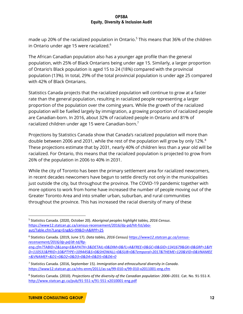made up 20% of the racialized population in Ontario. <sup>5</sup> This means that 36% of the children in Ontario under age 15 were racialized.<sup>6</sup>

The African Canadian population also has a younger age profile than the general population, with 25% of Black Ontarians being under age 15. Similarly, a larger proportion of Ontario's Black population is aged 15 to 24 (18%) compared with the provincial population (13%). In total, 29% of the total provincial population is under age 25 compared with 42% of Black Ontarians.

Statistics Canada projects that the racialized population will continue to grow at a faster rate than the general population, resulting in racialized people representing a larger proportion of the population over the coming years. While the growth of the racialized population will be fuelled largely by immigration, a growing proportion of racialized people are Canadian-born. In 2016, about 32% of racialized people in Ontario and 81% of racialized children under age 15 were Canadian-born. 7

Projections by Statistics Canada show that Canada's racialized population will more than double between 2006 and 2031, while the rest of the population will grow by only 12%. $8^{\circ}$ These projections estimate that by 2031, nearly 40% of children less than a year old will be racialized. For Ontario, this means that the racialized population is projected to grow from 26% of the population in 2006 to 40% in 2031.

While the city of Toronto has been the primary settlement area for racialized newcomers, in recent decades newcomers have begun to settle directly not only in the municipalities just outside the city, but throughout the province. The COVID-19 pandemic together with more options to work from home have increased the number of people moving out of the Greater Toronto Area and into smaller urban, suburban, and rural communities throughout the province. This has increased the racial diversity of many of these

<sup>5</sup> Statistics Canada. (2020, October 20). *Aboriginal peoples highlight tables, 2016 Census*. [https://www12.statcan.gc.ca/census-recensement/2016/dp-pd/hlt-fst/abo](https://www12.statcan.gc.ca/census-recensement/2016/dp-pd/hlt-fst/abo-aut/Table.cfm?Lang=Eng&S=99&O=A&RPP=25)[aut/Table.cfm?Lang=Eng&S=99&O=A&RPP=25](https://www12.statcan.gc.ca/census-recensement/2016/dp-pd/hlt-fst/abo-aut/Table.cfm?Lang=Eng&S=99&O=A&RPP=25)

<sup>6</sup> Statistics Canada. (2019, June 17). *Data tables, 2016 Census) [https://www12.statcan.gc.ca/census](https://www12.statcan.gc.ca/census-recensement/2016/dp-pd/dt-td/Rp-eng.cfm?TABID=2&Lang=E&APATH=3&DETAIL=0&DIM=0&FL=A&FREE=0&GC=0&GID=1341679&GK=0&GRP=1&PID=110531&PRID=10&PTYPE=109445&S=0&SHOWALL=0&SUB=0&Temporal=2017&THEME=120&VID=0&VNAMEE=&VNAMEF=&D1=0&D2=0&D3=0&D4=0&D5=0&D6=0)[recensement/2016/dp-pd/dt-td/Rp](https://www12.statcan.gc.ca/census-recensement/2016/dp-pd/dt-td/Rp-eng.cfm?TABID=2&Lang=E&APATH=3&DETAIL=0&DIM=0&FL=A&FREE=0&GC=0&GID=1341679&GK=0&GRP=1&PID=110531&PRID=10&PTYPE=109445&S=0&SHOWALL=0&SUB=0&Temporal=2017&THEME=120&VID=0&VNAMEE=&VNAMEF=&D1=0&D2=0&D3=0&D4=0&D5=0&D6=0)[eng.cfm?TABID=2&Lang=E&APATH=3&DETAIL=0&DIM=0&FL=A&FREE=0&GC=0&GID=1341679&GK=0&GRP=1&PI](https://www12.statcan.gc.ca/census-recensement/2016/dp-pd/dt-td/Rp-eng.cfm?TABID=2&Lang=E&APATH=3&DETAIL=0&DIM=0&FL=A&FREE=0&GC=0&GID=1341679&GK=0&GRP=1&PID=110531&PRID=10&PTYPE=109445&S=0&SHOWALL=0&SUB=0&Temporal=2017&THEME=120&VID=0&VNAMEE=&VNAMEF=&D1=0&D2=0&D3=0&D4=0&D5=0&D6=0) [D=110531&PRID=10&PTYPE=109445&S=0&SHOWALL=0&SUB=0&Temporal=2017&THEME=120&VID=0&VNAMEE](https://www12.statcan.gc.ca/census-recensement/2016/dp-pd/dt-td/Rp-eng.cfm?TABID=2&Lang=E&APATH=3&DETAIL=0&DIM=0&FL=A&FREE=0&GC=0&GID=1341679&GK=0&GRP=1&PID=110531&PRID=10&PTYPE=109445&S=0&SHOWALL=0&SUB=0&Temporal=2017&THEME=120&VID=0&VNAMEE=&VNAMEF=&D1=0&D2=0&D3=0&D4=0&D5=0&D6=0)*

*[<sup>=&</sup>amp;VNAMEF=&D1=0&D2=0&D3=0&D4=0&D5=0&D6=0](https://www12.statcan.gc.ca/census-recensement/2016/dp-pd/dt-td/Rp-eng.cfm?TABID=2&Lang=E&APATH=3&DETAIL=0&DIM=0&FL=A&FREE=0&GC=0&GID=1341679&GK=0&GRP=1&PID=110531&PRID=10&PTYPE=109445&S=0&SHOWALL=0&SUB=0&Temporal=2017&THEME=120&VID=0&VNAMEE=&VNAMEF=&D1=0&D2=0&D3=0&D4=0&D5=0&D6=0)*

<sup>7</sup> Statistics Canada. (2016, September 15). *Immigration and ethnocultural diversity in Canada*. <https://www12.statcan.gc.ca/nhs-enm/2011/as-sa/99-010-x/99-010-x2011001-eng.cfm>

<sup>8</sup> Statistics Canada. (2010). *Projections of the diversity of the Canadian population: 2006–2031*. Cat. No. 91-551-X. <http://www.statcan.gc.ca/pub/91-551-x/91-551-x2010001-eng.pdf>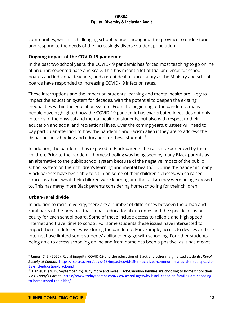communities, which is challenging school boards throughout the province to understand and respond to the needs of the increasingly diverse student population.

# **Ongoing impact of the COVID-19 pandemic**

In the past two school years, the COVID-19 pandemic has forced most teaching to go online at an unprecedented pace and scale. This has meant a lot of trial and error for school boards and individual teachers, and a great deal of uncertainty as the Ministry and school boards have responded to increasing COVID-19 infection rates.

These interruptions and the impact on students' learning and mental health are likely to impact the education system for decades, with the potential to deepen the existing inequalities within the education system. From the beginning of the pandemic, many people have highlighted how the COVID-19 pandemic has exacerbated inequities not only in terms of the physical and mental health of students, but also with respect to their education and social and recreational lives. Over the coming years, trustees will need to pay particular attention to how the pandemic and racism align if they are to address the disparities in schooling and education for these students. $9$ 

In addition, the pandemic has exposed to Black parents the racism experienced by their children. Prior to the pandemic homeschooling was being seen by many Black parents as an alternative to the public school system because of the negative impact of the public school system on their children's learning and mental health.<sup>10</sup> During the pandemic many Black parents have been able to sit in on some of their children's classes, which raised concerns about what their children were learning and the racism they were being exposed to. This has many more Black parents considering homeschooling for their children.

# **Urban-rural divide**

In addition to racial diversity, there are a number of differences between the urban and rural parts of the province that impact educational outcomes and the specific focus on equity for each school board. Some of these include access to reliable and high speed internet and travel time to school. For some students these issues have intersected to impact them in different ways during the pandemic. For example, access to devices and the internet have limited some students' ability to engage with schooling. For other students, being able to access schooling online and from home has been a positive, as it has meant

<sup>9</sup> James, C. E. (2020). Racial inequity, COVID-19 and the education of Black and other marginalized students. *Royal Society of Canada*[. https://rsc-src.ca/en/covid-19/impact-covid-19-in-racialized-communities/racial-inequity-covid-](https://rsc-src.ca/en/covid-19/impact-covid-19-in-racialized-communities/racial-inequity-covid-19-and-education-black-and)[19-and-education-black-and](https://rsc-src.ca/en/covid-19/impact-covid-19-in-racialized-communities/racial-inequity-covid-19-and-education-black-and)

<sup>&</sup>lt;sup>10</sup> Daniel, K. (2019, September 26). Why more and more Black-Canadian families are choosing to homeschool their kids. *Today's Parent.* [https://www.todaysparent.com/kids/school-age/why-black-canadian-families-are-choosing](https://www.todaysparent.com/kids/school-age/why-black-canadian-families-are-choosing-to-homeschool-their-kids/)[to-homeschool-their-kids/](https://www.todaysparent.com/kids/school-age/why-black-canadian-families-are-choosing-to-homeschool-their-kids/)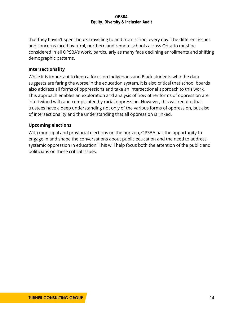that they haven't spent hours travelling to and from school every day. The different issues and concerns faced by rural, northern and remote schools across Ontario must be considered in all OPSBA's work, particularly as many face declining enrollments and shifting demographic patterns.

#### **Intersectionality**

While it is important to keep a focus on Indigenous and Black students who the data suggests are faring the worse in the education system, it is also critical that school boards also address all forms of oppressions and take an intersectional approach to this work. This approach enables an exploration and analysis of how other forms of oppression are intertwined with and complicated by racial oppression. However, this will require that trustees have a deep understanding not only of the various forms of oppression, but also of intersectionality and the understanding that all oppression is linked.

### **Upcoming elections**

With municipal and provincial elections on the horizon, OPSBA has the opportunity to engage in and shape the conversations about public education and the need to address systemic oppression in education. This will help focus both the attention of the public and politicians on these critical issues.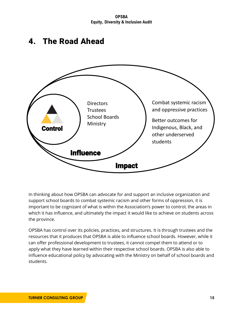**OPSBA Equity, Diversity & Inclusion Audit**

# <span id="page-16-0"></span>4. The Road Ahead



In thinking about how OPSBA can advocate for and support an inclusive organization and support school boards to combat systemic racism and other forms of oppression, it is important to be cognizant of what is within the Association's power to control, the areas in which it has influence, and ultimately the impact it would like to achieve on students across the province.

OPSBA has control over its policies, practices, and structures. It is through trustees and the resources that it produces that OPSBA is able to influence school boards. However, while it can offer professional development to trustees, it cannot compel them to attend or to apply what they have learned within their respective school boards. OPSBA is also able to influence educational policy by advocating with the Ministry on behalf of school boards and students.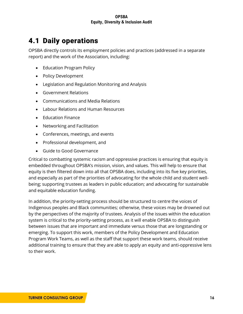# <span id="page-17-0"></span>4.1 Daily operations

OPSBA directly controls its employment policies and practices (addressed in a separate report) and the work of the Association, including:

- Education Program Policy
- Policy Development
- Legislation and Regulation Monitoring and Analysis
- Government Relations
- Communications and Media Relations
- Labour Relations and Human Resources
- Education Finance
- Networking and Facilitation
- Conferences, meetings, and events
- Professional development, and
- Guide to Good Governance

Critical to combatting systemic racism and oppressive practices is ensuring that equity is embedded throughout OPSBA's mission, vision, and values. This will help to ensure that equity is then filtered down into all that OPSBA does, including into its five key priorities, and especially as part of the priorities of advocating for the whole child and student wellbeing; supporting trustees as leaders in public education; and advocating for sustainable and equitable education funding.

In addition, the priority-setting process should be structured to centre the voices of Indigenous peoples and Black communities; otherwise, these voices may be drowned out by the perspectives of the majority of trustees. Analysis of the issues within the education system is critical to the priority-setting process, as it will enable OPSBA to distinguish between issues that are important and immediate versus those that are longstanding or emerging. To support this work, members of the Policy Development and Education Program Work Teams, as well as the staff that support these work teams, should receive additional training to ensure that they are able to apply an equity and anti-oppressive lens to their work.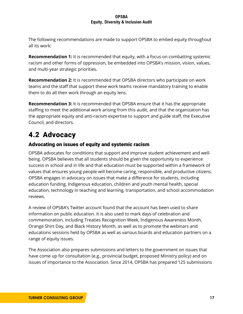The following recommendations are made to support OPSBA to embed equity throughout all its work:

**Recommendation 1:** It is recommended that equity, with a focus on combatting systemic racism and other forms of oppression, be embedded into OPSBA's mission, vision, values, and multi-year strategic priorities.

**Recommendation 2:** It is recommended that OPSBA directors who participate on work teams and the staff that support these work teams receive mandatory training to enable them to do all their work through an equity lens.

**Recommendation 3:** It is recommended that OPSBA ensure that it has the appropriate staffing to meet the additional work arising from this audit, and that the organization has the appropriate equity and anti-racism expertise to support and guide staff, the Executive Council, and directors.

# <span id="page-18-0"></span>4.2 Advocacy

# Advocating on issues of equity and systemic racism

OPSBA advocates for conditions that support and improve student achievement and wellbeing. OPSBA believes that all students should be given the opportunity to experience success in school and in life and that education must be supported within a framework of values that ensures young people will become caring, responsible, and productive citizens. OPSBA engages in advocacy on issues that make a difference for students, including education funding, Indigenous education, children and youth mental health, special education, technology in teaching and learning, transportation, and school accommodation reviews.

A review of OPSBA's Twitter account found that the account has been used to share information on public education. It is also used to mark days of celebration and commemoration, including Treaties Recognition Week, Indigenous Awareness Month, Orange Shirt Day, and Black History Month, as well as to promote the webinars and educations sessions held by OPSBA as well as various boards and education partners on a range of equity issues.

The Association also prepares submissions and letters to the government on issues that have come up for consultation (e.g., provincial budget, proposed Ministry policy) and on issues of importance to the Association. Since 2014, OPSBA has prepared 125 submissions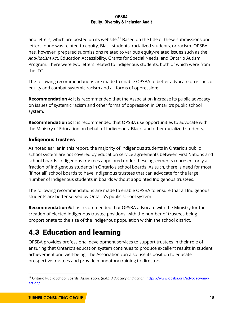and letters, which are posted on its website.<sup>11</sup> Based on the title of these submissions and letters, none was related to equity, Black students, racialized students, or racism. OPSBA has, however, prepared submissions related to various equity-related issues such as the *Anti-Racism Act*, Education Accessibility, Grants for Special Needs, and Ontario Autism Program. There were two letters related to Indigenous students, both of which were from the ITC.

The following recommendations are made to enable OPSBA to better advocate on issues of equity and combat systemic racism and all forms of oppression:

**Recommendation 4:** It is recommended that the Association increase its public advocacy on issues of systemic racism and other forms of oppression in Ontario's public school system.

**Recommendation 5:** It is recommended that OPSBA use opportunities to advocate with the Ministry of Education on behalf of Indigenous, Black, and other racialized students.

# Indigenous trustees

As noted earlier in this report, the majority of Indigenous students in Ontario's public school system are not covered by education service agreements between First Nations and school boards. Indigenous trustees appointed under these agreements represent only a fraction of Indigenous students in Ontario's school boards. As such, there is need for most (if not all) school boards to have Indigenous trustees that can advocate for the large number of Indigenous students in boards without appointed Indigenous trustees.

The following recommendations are made to enable OPSBA to ensure that all Indigenous students are better served by Ontario's public school system:

**Recommendation 6:** It is recommended that OPSBA advocate with the Ministry for the creation of elected Indigenous trustee positions, with the number of trustees being proportionate to the size of the Indigenous population within the school district.

# <span id="page-19-0"></span>4.3 Education and learning

OPSBA provides professional development services to support trustees in their role of ensuring that Ontario's education system continues to produce excellent results in student achievement and well-being. The Association can also use its position to educate prospective trustees and provide mandatory training to directors.

<sup>11</sup> Ontario Public School Boards' Association. (n.d.). *Advocacy and action*. [https://www.opsba.org/advocacy-and](https://www.opsba.org/advocacy-and-action/)[action/](https://www.opsba.org/advocacy-and-action/)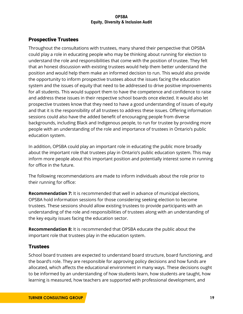# Prospective Trustees

Throughout the consultations with trustees, many shared their perspective that OPSBA could play a role in educating people who may be thinking about running for election to understand the role and responsibilities that come with the position of trustee. They felt that an honest discussion with existing trustees would help them better understand the position and would help them make an informed decision to run. This would also provide the opportunity to inform prospective trustees about the issues facing the education system and the issues of equity that need to be addressed to drive positive improvements for all students. This would support them to have the competence and confidence to raise and address these issues in their respective school boards once elected. It would also let prospective trustees know that they need to have a good understanding of issues of equity and that it is the responsibility of all trustees to address these issues. Offering information sessions could also have the added benefit of encouraging people from diverse backgrounds, including Black and Indigenous people, to run for trustee by providing more people with an understanding of the role and importance of trustees in Ontario's public education system.

In addition, OPSBA could play an important role in educating the public more broadly about the important role that trustees play in Ontario's public education system. This may inform more people about this important position and potentially interest some in running for office in the future.

The following recommendations are made to inform individuals about the role prior to their running for office:

**Recommendation 7:** It is recommended that well in advance of municipal elections, OPSBA hold information sessions for those considering seeking election to become trustees. These sessions should allow existing trustees to provide participants with an understanding of the role and responsibilities of trustees along with an understanding of the key equity issues facing the education sector.

**Recommendation 8:** It is recommended that OPSBA educate the public about the important role that trustees play in the education system.

# **Trustees**

School board trustees are expected to understand board structure, board functioning, and the board's role. They are responsible for approving policy decisions and how funds are allocated, which affects the educational environment in many ways. These decisions ought to be informed by an understanding of how students learn, how students are taught, how learning is measured, how teachers are supported with professional development, and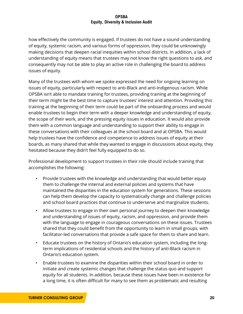how effectively the community is engaged. If trustees do not have a sound understanding of equity, systemic racism, and various forms of oppression, they could be unknowingly making decisions that deepen racial inequities within school districts. In addition, a lack of understanding of equity means that trustees may not know the right questions to ask, and consequently may not be able to play an active role in challenging the board to address issues of equity.

Many of the trustees with whom we spoke expressed the need for ongoing learning on issues of equity, particularly with respect to anti-Black and anti-Indigenous racism. While OPSBA isn't able to mandate training for trustees, providing training at the beginning of their term might be the best time to capture trustees' interest and attention. Providing this training at the beginning of their term could be part of the onboarding process and would enable trustees to begin their term with a deeper knowledge and understanding of equity, the scope of their work, and the pressing equity issues in education. It would also provide them with a common language and understanding to support their ability to engage in these conversations with their colleagues at the school board and at OPSBA. This would help trustees have the confidence and competence to address issues of equity at their boards, as many shared that while they wanted to engage in discussions about equity, they hesitated because they didn't feel fully equipped to do so.

Professional development to support trustees in their role should include training that accomplishes the following:

- Provide trustees with the knowledge and understanding that would better equip them to challenge the internal and external policies and systems that have maintained the disparities in the education system for generations. These sessions can help them develop the capacity to systematically change and challenge policies and school board practices that continue to underserve and marginalize students.
- Allow trustees to engage in their own personal journey to deepen their knowledge and understanding of issues of equity, racism, and oppression, and provide them with the language to engage in courageous conversations on these issues. Trustees shared that they could benefit from the opportunity to learn in small groups, with facilitator-led conversations that provide a safe space for them to share and learn.
- Educate trustees on the history of Ontario's education system, including the longterm implications of residential schools and the history of anti-Black racism in Ontario's education system.
- Enable trustees to examine the disparities within their school board in order to initiate and create systemic changes that challenge the status quo and support equity for all students. In addition, because these issues have been in existence for a long time, it is often difficult for many to see them as problematic and resulting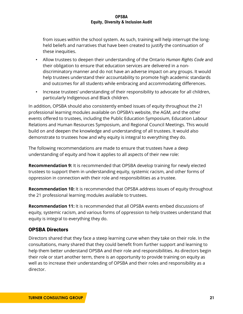from issues within the school system. As such, training will help interrupt the longheld beliefs and narratives that have been created to justify the continuation of these inequities.

- Allow trustees to deepen their understanding of the Ontario *Human Rights Code* and their obligation to ensure that education services are delivered in a nondiscriminatory manner and do not have an adverse impact on any groups. It would help trustees understand their accountability to promote high academic standards and outcomes for all students while embracing and accommodating differences.
- Increase trustees' understanding of their responsibility to advocate for all children, particularly Indigenous and Black children.

In addition, OPSBA should also consistently embed issues of equity throughout the 21 professional learning modules available on OPSBA's website, the AGM, and the other events offered to trustees, including the Public Education Symposium, Education Labour Relations and Human Resources Symposium, and Regional Council Meetings. This would build on and deepen the knowledge and understanding of all trustees. It would also demonstrate to trustees how and why equity is integral to everything they do.

The following recommendations are made to ensure that trustees have a deep understanding of equity and how it applies to all aspects of their new role:

**Recommendation 9:** It is recommended that OPSBA develop training for newly elected trustees to support them in understanding equity, systemic racism, and other forms of oppression in connection with their role and responsibilities as a trustee.

**Recommendation 10:** It is recommended that OPSBA address issues of equity throughout the 21 professional learning modules available to trustees.

**Recommendation 11:** It is recommended that all OPSBA events embed discussions of equity, systemic racism, and various forms of oppression to help trustees understand that equity is integral to everything they do.

# OPSBA Directors

Directors shared that they face a steep learning curve when they take on their role. In the consultations, many shared that they could benefit from further support and learning to help them better understand OPSBA and their role and responsibilities. As directors begin their role or start another term, there is an opportunity to provide training on equity as well as to increase their understanding of OPSBA and their roles and responsibility as a director.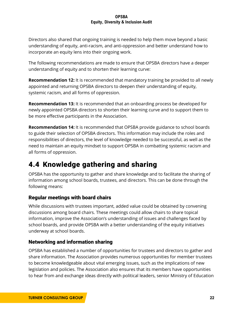Directors also shared that ongoing training is needed to help them move beyond a basic understanding of equity, anti-racism, and anti-oppression and better understand how to incorporate an equity lens into their ongoing work.

The following recommendations are made to ensure that OPSBA directors have a deeper understanding of equity and to shorten their learning curve:

**Recommendation 12:** It is recommended that mandatory training be provided to all newly appointed and returning OPSBA directors to deepen their understanding of equity, systemic racism, and all forms of oppression.

**Recommendation 13:** It is recommended that an onboarding process be developed for newly appointed OPSBA directors to shorten their learning curve and to support them to be more effective participants in the Association.

**Recommendation 14:** It is recommended that OPSBA provide guidance to school boards to guide their selection of OPSBA directors. This information may include the roles and responsibilities of directors, the level of knowledge needed to be successful, as well as the need to maintain an equity mindset to support OPSBA in combatting systemic racism and all forms of oppression.

# <span id="page-23-0"></span>4.4 Knowledge gathering and sharing

OPSBA has the opportunity to gather and share knowledge and to facilitate the sharing of information among school boards, trustees, and directors. This can be done through the following means:

# Regular meetings with board chairs

While discussions with trustees important, added value could be obtained by convening discussions among board chairs. These meetings could allow chairs to share topical information, improve the Association's understanding of issues and challenges faced by school boards, and provide OPSBA with a better understanding of the equity initiatives underway at school boards.

# Networking and information sharing

OPSBA has established a number of opportunities for trustees and directors to gather and share information. The Association provides numerous opportunities for member trustees to become knowledgeable about vital emerging issues, such as the implications of new legislation and policies. The Association also ensures that its members have opportunities to hear from and exchange ideas directly with political leaders, senior Ministry of Education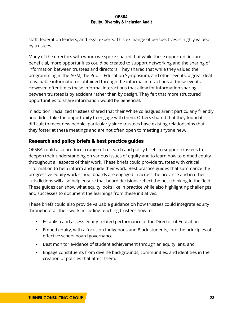staff, federation leaders, and legal experts. This exchange of perspectives is highly valued by trustees.

Many of the directors with whom we spoke shared that while these opportunities are beneficial, more opportunities could be created to support networking and the sharing of information between trustees and directors. They shared that while they valued the programming in the AGM, the Public Education Symposium, and other events, a great deal of valuable information is obtained through the informal interactions at these events. However, oftentimes these informal interactions that allow for information sharing between trustees is by accident rather than by design. They felt that more structured opportunities to share information would be beneficial.

In addition, racialized trustees shared that their White colleagues aren't particularly friendly and didn't take the opportunity to engage with them. Others shared that they found it difficult to meet new people, particularly since trustees have existing relationships that they foster at these meetings and are not often open to meeting anyone new.

# Research and policy briefs & best practice guides

OPSBA could also produce a range of research and policy briefs to support trustees to deepen their understanding on various issues of equity and to learn how to embed equity throughout all aspects of their work. These briefs could provide trustees with critical information to help inform and guide their work. Best practice guides that summarize the progressive equity work school boards are engaged in across the province and in other jurisdictions will also help ensure that board decisions reflect the best thinking in the field. These guides can show what equity looks like in practice while also highlighting challenges and successes to document the learnings from these initiatives.

These briefs could also provide valuable guidance on how trustees could integrate equity throughout all their work, including teaching trustees how to:

- Establish and assess equity-related performance of the Director of Education
- Embed equity, with a focus on Indigenous and Black students, into the principles of effective school board governance
- Best monitor evidence of student achievement through an equity lens, and
- Engage constituents from diverse backgrounds, communities, and identities in the creation of policies that affect them.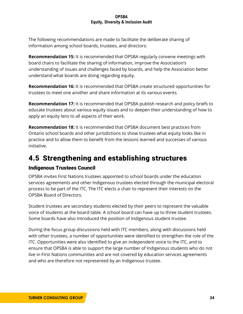The following recommendations are made to facilitate the deliberate sharing of information among school boards, trustees, and directors:

**Recommendation 15:** It is recommended that OPSBA regularly convene meetings with board chairs to facilitate the sharing of information, improve the Association's understanding of issues and challenges faced by boards, and help the Association better understand what boards are doing regarding equity.

**Recommendation 16:** It is recommended that OPSBA create structured opportunities for trustees to meet one another and share information at its various events.

**Recommendation 17:** It is recommended that OPSBA publish research and policy briefs to educate trustees about various equity issues and to deepen their understanding of how to apply an equity lens to all aspects of their work.

**Recommendation 18:** It is recommended that OPSBA document best practices from Ontario school boards and other jurisdictions to show trustees what equity looks like in practice and to allow them to benefit from the lessons learned and successes of various initiative.

# <span id="page-25-0"></span>4.5 Strengthening and establishing structures

# Indigenous Trustees Council

OPSBA invites First Nations trustees appointed to school boards under the education services agreements and other Indigenous trustees elected through the municipal electoral process to be part of the ITC. The ITC elects a chair to represent their interests on the OPSBA Board of Directors.

Student trustees are secondary students elected by their peers to represent the valuable voice of students at the board table. A school board can have up to three student trustees. Some boards have also introduced the position of Indigenous student trustee.

During the focus group discussions held with ITC members, along with discussions held with other trustees, a number of opportunities were identified to strengthen the role of the ITC. Opportunities were also identified to give an independent voice to the ITC, and to ensure that OPSBA is able to support the large number of Indigenous students who do not live in First Nations communities and are not covered by education services agreements and who are therefore not represented by an Indigenous trustee.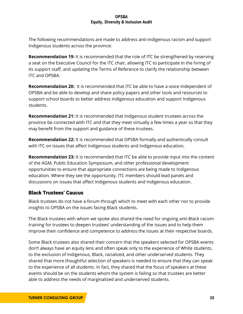The following recommendations are made to address anti-Indigenous racism and support Indigenous students across the province:

**Recommendation 19:** It is recommended that the role of ITC be strengthened by reserving a seat on the Executive Council for the ITC chair, allowing ITC to participate in the hiring of its support staff, and updating the Terms of Reference to clarify the relationship between ITC and OPSBA.

**Recommendation 20:** It is recommended that ITC be able to have a voice independent of OPSBA and be able to develop and share policy papers and other tools and resources to support school boards to better address Indigenous education and support Indigenous students.

**Recommendation 21:** It is recommended that Indigenous student trustees across the province be connected with ITC and that they meet virtually a few times a year so that they may benefit from the support and guidance of these trustees.

**Recommendation 22:** It is recommended that OPSBA formally and authentically consult with ITC on issues that affect Indigenous students and Indigenous education.

**Recommendation 23:** It is recommended that ITC be able to provide input into the content of the AGM, Public Education Symposium, and other professional development opportunities to ensure that appropriate connections are being made to Indigenous education. Where they see the opportunity, ITC members should lead panels and discussions on issues that affect Indigenous students and Indigenous education.

# Black Trustees' Caucus

Black trustees do not have a forum through which to meet with each other nor to provide insights to OPSBA on the issues facing Black students.

The Black trustees with whom we spoke also shared the need for ongoing anti-Black racism training for trustees to deepen trustees' understanding of the issues and to help them improve their confidence and competence to address the issues at their respective boards.

Some Black trustees also shared their concern that the speakers selected for OPSBA events don't always have an equity lens and often speak only to the experience of White students, to the exclusion of Indigenous, Black, racialized, and other underserved students. They shared that more thoughtful selection of speakers is needed to ensure that they can speak to the experience of all students. In fact, they shared that the focus of speakers at these events should be on the students whom the system is failing so that trustees are better able to address the needs of marginalized and underserved students.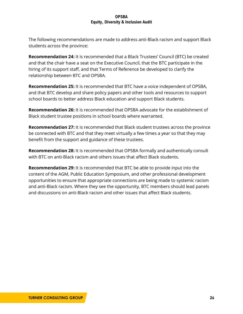The following recommendations are made to address anti-Black racism and support Black students across the province:

**Recommendation 24:** It is recommended that a Black Trustees' Council (BTC) be created and that the chair have a seat on the Executive Council, that the BTC participate in the hiring of its support staff, and that Terms of Reference be developed to clarify the relationship between BTC and OPSBA.

**Recommendation 25:** It is recommended that BTC have a voice independent of OPSBA, and that BTC develop and share policy papers and other tools and resources to support school boards to better address Black education and support Black students.

**Recommendation 26:** It is recommended that OPSBA advocate for the establishment of Black student trustee positions in school boards where warranted.

**Recommendation 27:** It is recommended that Black student trustees across the province be connected with BTC and that they meet virtually a few times a year so that they may benefit from the support and guidance of these trustees.

**Recommendation 28:** It is recommended that OPSBA formally and authentically consult with BTC on anti-Black racism and others issues that affect Black students.

**Recommendation 29:** It is recommended that BTC be able to provide input into the content of the AGM, Public Education Symposium, and other professional development opportunities to ensure that appropriate connections are being made to systemic racism and anti-Black racism. Where they see the opportunity, BTC members should lead panels and discussions on anti-Black racism and other issues that affect Black students.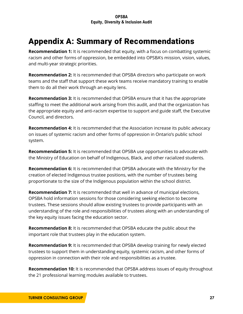# <span id="page-28-0"></span>Appendix A: Summary of Recommendations

**Recommendation 1:** It is recommended that equity, with a focus on combatting systemic racism and other forms of oppression, be embedded into OPSBA's mission, vision, values, and multi-year strategic priorities.

**Recommendation 2:** It is recommended that OPSBA directors who participate on work teams and the staff that support these work teams receive mandatory training to enable them to do all their work through an equity lens.

**Recommendation 3:** It is recommended that OPSBA ensure that it has the appropriate staffing to meet the additional work arising from this audit, and that the organization has the appropriate equity and anti-racism expertise to support and guide staff, the Executive Council, and directors.

**Recommendation 4:** It is recommended that the Association increase its public advocacy on issues of systemic racism and other forms of oppression in Ontario's public school system.

**Recommendation 5:** It is recommended that OPSBA use opportunities to advocate with the Ministry of Education on behalf of Indigenous, Black, and other racialized students.

**Recommendation 6:** It is recommended that OPSBA advocate with the Ministry for the creation of elected Indigenous trustee positions, with the number of trustees being proportionate to the size of the Indigenous population within the school district.

**Recommendation 7:** It is recommended that well in advance of municipal elections, OPSBA hold information sessions for those considering seeking election to become trustees. These sessions should allow existing trustees to provide participants with an understanding of the role and responsibilities of trustees along with an understanding of the key equity issues facing the education sector.

**Recommendation 8:** It is recommended that OPSBA educate the public about the important role that trustees play in the education system.

**Recommendation 9:** It is recommended that OPSBA develop training for newly elected trustees to support them in understanding equity, systemic racism, and other forms of oppression in connection with their role and responsibilities as a trustee.

**Recommendation 10:** It is recommended that OPSBA address issues of equity throughout the 21 professional learning modules available to trustees.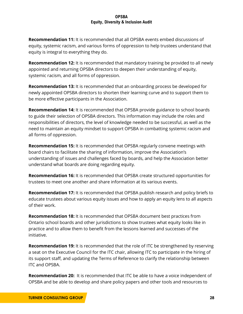**Recommendation 11:** It is recommended that all OPSBA events embed discussions of equity, systemic racism, and various forms of oppression to help trustees understand that equity is integral to everything they do.

**Recommendation 12:** It is recommended that mandatory training be provided to all newly appointed and returning OPSBA directors to deepen their understanding of equity, systemic racism, and all forms of oppression.

**Recommendation 13:** It is recommended that an onboarding process be developed for newly appointed OPSBA directors to shorten their learning curve and to support them to be more effective participants in the Association.

**Recommendation 14:** It is recommended that OPSBA provide guidance to school boards to guide their selection of OPSBA directors. This information may include the roles and responsibilities of directors, the level of knowledge needed to be successful, as well as the need to maintain an equity mindset to support OPSBA in combatting systemic racism and all forms of oppression.

**Recommendation 15:** It is recommended that OPSBA regularly convene meetings with board chairs to facilitate the sharing of information, improve the Association's understanding of issues and challenges faced by boards, and help the Association better understand what boards are doing regarding equity.

**Recommendation 16:** It is recommended that OPSBA create structured opportunities for trustees to meet one another and share information at its various events.

**Recommendation 17:** It is recommended that OPSBA publish research and policy briefs to educate trustees about various equity issues and how to apply an equity lens to all aspects of their work.

**Recommendation 18:** It is recommended that OPSBA document best practices from Ontario school boards and other jurisdictions to show trustees what equity looks like in practice and to allow them to benefit from the lessons learned and successes of the initiative.

**Recommendation 19:** It is recommended that the role of ITC be strengthened by reserving a seat on the Executive Council for the ITC chair, allowing ITC to participate in the hiring of its support staff, and updating the Terms of Reference to clarify the relationship between ITC and OPSBA.

**Recommendation 20:** It is recommended that ITC be able to have a voice independent of OPSBA and be able to develop and share policy papers and other tools and resources to